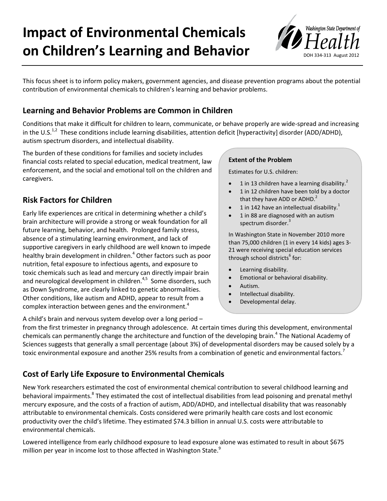# **Impact of Environmental Chemicals on Children's Learning and Behavior**



This focus sheet is to inform policy makers, government agencies, and disease prevention programs about the potential contribution of environmental chemicals to children's learning and behavior problems.

# **Learning and Behavior Problems are Common in Children**

Conditions that make it difficult for children to learn, communicate, or behave properly are wide-spread and increasing in the U.S.<sup>1,2</sup> These conditions include learning disabilities, attention deficit [hyperactivity] disorder (ADD/ADHD), autism spectrum disorders, and intellectual disability.

The burden of these conditions for families and society includes financial costs related to special education, medical treatment, law enforcement, and the social and emotional toll on the children and caregivers.

# **Risk Factors for Children**

Early life experiences are critical in determining whether a child's brain architecture will provide a strong or weak foundation for all future learning, behavior, and health. Prolonged family stress, absence of a stimulating learning environment, and lack of supportive caregivers in early childhood are well known to impede healthy brain development in children.<sup>4</sup> Other factors such as poor nutrition, fetal exposure to infectious agents, and exposure to toxic chemicals such as lead and mercury can directly impair brain and neurological development in children.<sup>4,5</sup> Some disorders, such as Down Syndrome, are clearly linked to genetic abnormalities. Other conditions, like autism and ADHD, appear to result from a complex interaction between genes and the environment.<sup>4</sup>

#### **Extent of the Problem**

Estimates for U.S. children:

- 1 in 13 children have a learning disability. $^2$
- 1 in 12 children have been told by a doctor that they have ADD or ADHD.<sup>2</sup>
- 1 in 142 have an intellectual disability.<sup>1</sup>
- 1 in 88 are diagnosed with an autism spectrum disorder.<sup>3</sup>

In Washington State in November 2010 more than 75,000 children (1 in every 14 kids) ages 3- 21 were receiving special education services through school districts<sup>6</sup> for:

- Learning disability.
- Emotional or behavioral disability.
- Autism.
- Intellectual disability.
- Developmental delay.

A child's brain and nervous system develop over a long period –

from the first trimester in pregnancy through adolescence. At certain times during this development, environmental chemicals can permanently change the architecture and function of the developing brain.<sup>4</sup> The National Academy of Sciences suggests that generally a small percentage (about 3%) of developmental disorders may be caused solely by a toxic environmental exposure and another 25% results from a combination of genetic and environmental factors.<sup>7</sup>

## **Cost of Early Life Exposure to Environmental Chemicals**

New York researchers estimated the cost of environmental chemical contribution to several childhood learning and behavioral impairments.<sup>8</sup> They estimated the cost of intellectual disabilities from lead poisoning and prenatal methyl mercury exposure, and the costs of a fraction of autism, ADD/ADHD, and intellectual disability that was reasonably attributable to environmental chemicals. Costs considered were primarily health care costs and lost economic productivity over the child's lifetime. They estimated \$74.3 billion in annual U.S. costs were attributable to environmental chemicals.

Lowered intelligence from early childhood exposure to lead exposure alone was estimated to result in about \$675 million per year in income lost to those affected in Washington State.<sup>9</sup>